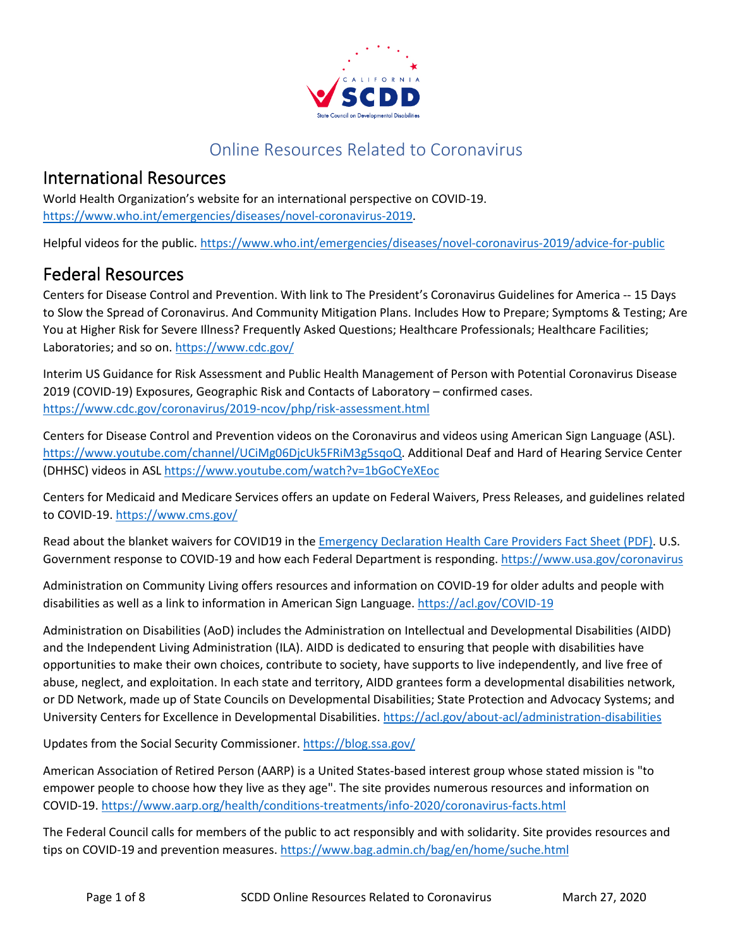

## Online Resources Related to Coronavirus

#### International Resources

World Health Organization's website for an international perspective on COVID-19. [https://www.who.int/emergencies/diseases/novel-coronavirus-2019.](https://www.who.int/emergencies/diseases/novel-coronavirus-2019)

Helpful videos for the public. <https://www.who.int/emergencies/diseases/novel-coronavirus-2019/advice-for-public>

### Federal Resources

Centers for Disease Control and Prevention. With link to The President's Coronavirus Guidelines for America -- 15 Days to Slow the Spread of Coronavirus. And Community Mitigation Plans. Includes How to Prepare; Symptoms & Testing; Are You at Higher Risk for Severe Illness? Frequently Asked Questions; Healthcare Professionals; Healthcare Facilities; Laboratories; and so on[. https://www.cdc.gov/](https://www.cdc.gov/)

Interim US Guidance for Risk Assessment and Public Health Management of Person with Potential Coronavirus Disease 2019 (COVID-19) Exposures, Geographic Risk and Contacts of Laboratory – confirmed cases. <https://www.cdc.gov/coronavirus/2019-ncov/php/risk-assessment.html>

Centers for Disease Control and Prevention videos on the Coronavirus and videos using American Sign Language (ASL). [https://www.youtube.com/channel/UCiMg06DjcUk5FRiM3g5sqoQ.](https://www.youtube.com/channel/UCiMg06DjcUk5FRiM3g5sqoQ) Additional Deaf and Hard of Hearing Service Center (DHHSC) videos in ASL<https://www.youtube.com/watch?v=1bGoCYeXEoc>

Centers for Medicaid and Medicare Services offers an update on Federal Waivers, Press Releases, and guidelines related to COVID-19[. https://www.cms.gov/](https://www.cms.gov/)

Read about the blanket waivers for COVID19 in the [Emergency Declaration Health Care Providers Fact Sheet \(PDF\).](https://www.cms.gov/files/document/covid19-emergency-declaration-health-care-providers-fact-sheet.pdf) U.S. Government response to COVID-19 and how each Federal Department is responding.<https://www.usa.gov/coronavirus>

Administration on Community Living offers resources and information on COVID-19 for older adults and people with disabilities as well as a link to information in American Sign Language.<https://acl.gov/COVID-19>

Administration on Disabilities (AoD) includes the Administration on Intellectual and Developmental Disabilities (AIDD) and the Independent Living Administration (ILA). AIDD is dedicated to ensuring that people with disabilities have opportunities to make their own choices, contribute to society, have supports to live independently, and live free of abuse, neglect, and exploitation. In each state and territory, AIDD grantees form a developmental disabilities network, or DD Network, made up of State Councils on Developmental Disabilities; State Protection and Advocacy Systems; and University Centers for Excellence in Developmental Disabilities. <https://acl.gov/about-acl/administration-disabilities>

Updates from the Social Security Commissioner.<https://blog.ssa.gov/>

American Association of Retired Person (AARP) is a United States-based interest group whose stated mission is "to empower people to choose how they live as they age". The site provides numerous resources and information on COVID-19. <https://www.aarp.org/health/conditions-treatments/info-2020/coronavirus-facts.html>

The Federal Council calls for members of the public to act responsibly and with solidarity. Site provides resources and tips on COVID-19 and prevention measures.<https://www.bag.admin.ch/bag/en/home/suche.html>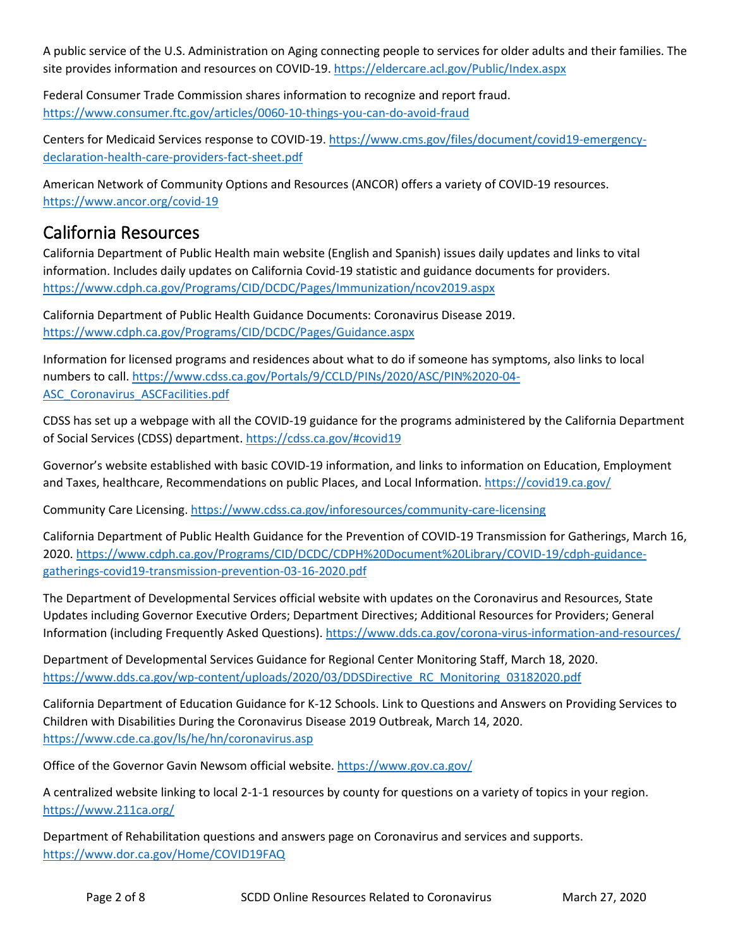A public service of the U.S. Administration on Aging connecting people to services for older adults and their families. The site provides information and resources on COVID-19.<https://eldercare.acl.gov/Public/Index.aspx>

Federal Consumer Trade Commission shares information to recognize and report fraud. <https://www.consumer.ftc.gov/articles/0060-10-things-you-can-do-avoid-fraud>

Centers for Medicaid Services response to COVID-19. [https://www.cms.gov/files/document/covid19-emergency](https://www.cms.gov/files/document/covid19-emergency-declaration-health-care-providers-fact-sheet.pdf)[declaration-health-care-providers-fact-sheet.pdf](https://www.cms.gov/files/document/covid19-emergency-declaration-health-care-providers-fact-sheet.pdf)

American Network of Community Options and Resources (ANCOR) offers a variety of COVID-19 resources. <https://www.ancor.org/covid-19>

### California Resources

California Department of Public Health main website (English and Spanish) issues daily updates and links to vital information. Includes daily updates on California Covid-19 statistic and guidance documents for providers. <https://www.cdph.ca.gov/Programs/CID/DCDC/Pages/Immunization/ncov2019.aspx>

California Department of Public Health Guidance Documents: Coronavirus Disease 2019. <https://www.cdph.ca.gov/Programs/CID/DCDC/Pages/Guidance.aspx>

Information for licensed programs and residences about what to do if someone has symptoms, also links to local numbers to call[. https://www.cdss.ca.gov/Portals/9/CCLD/PINs/2020/ASC/PIN%2020-04-](https://www.cdss.ca.gov/Portals/9/CCLD/PINs/2020/ASC/PIN%2020-04-ASC_Coronavirus_ASCFacilities.pdf) [ASC\\_Coronavirus\\_ASCFacilities.pdf](https://www.cdss.ca.gov/Portals/9/CCLD/PINs/2020/ASC/PIN%2020-04-ASC_Coronavirus_ASCFacilities.pdf)

CDSS has set up a webpage with all the COVID-19 guidance for the programs administered by the California Department of Social Services (CDSS) department[. https://cdss.ca.gov/#covid19](https://cdss.ca.gov/#covid19) 

Governor's website established with basic COVID-19 information, and links to information on Education, Employment and Taxes, healthcare, Recommendations on public Places, and Local Information.<https://covid19.ca.gov/>

Community Care Licensing[. https://www.cdss.ca.gov/inforesources/community-care-licensing](https://www.cdss.ca.gov/inforesources/community-care-licensing)

California Department of Public Health Guidance for the Prevention of COVID-19 Transmission for Gatherings, March 16, 2020[. https://www.cdph.ca.gov/Programs/CID/DCDC/CDPH%20Document%20Library/COVID-19/cdph-guidance](https://www.cdph.ca.gov/Programs/CID/DCDC/CDPH%20Document%20Library/COVID-19/cdph-guidance-gatherings-covid19-transmission-prevention-03-16-2020.pdf)[gatherings-covid19-transmission-prevention-03-16-2020.pdf](https://www.cdph.ca.gov/Programs/CID/DCDC/CDPH%20Document%20Library/COVID-19/cdph-guidance-gatherings-covid19-transmission-prevention-03-16-2020.pdf)

The Department of Developmental Services official website with updates on the Coronavirus and Resources, State Updates including Governor Executive Orders; Department Directives; Additional Resources for Providers; General Information (including Frequently Asked Questions).<https://www.dds.ca.gov/corona-virus-information-and-resources/>

Department of Developmental Services Guidance for Regional Center Monitoring Staff, March 18, 2020. [https://www.dds.ca.gov/wp-content/uploads/2020/03/DDSDirective\\_RC\\_Monitoring\\_03182020.pdf](https://www.dds.ca.gov/wp-content/uploads/2020/03/DDSDirective_RC_Monitoring_03182020.pdf)

California Department of Education Guidance for K-12 Schools. Link to Questions and Answers on Providing Services to Children with Disabilities During the Coronavirus Disease 2019 Outbreak, March 14, 2020. <https://www.cde.ca.gov/ls/he/hn/coronavirus.asp>

Office of the Governor Gavin Newsom official website.<https://www.gov.ca.gov/>

A centralized website linking to local 2-1-1 resources by county for questions on a variety of topics in your region. <https://www.211ca.org/>

Department of Rehabilitation questions and answers page on Coronavirus and services and supports. <https://www.dor.ca.gov/Home/COVID19FAQ>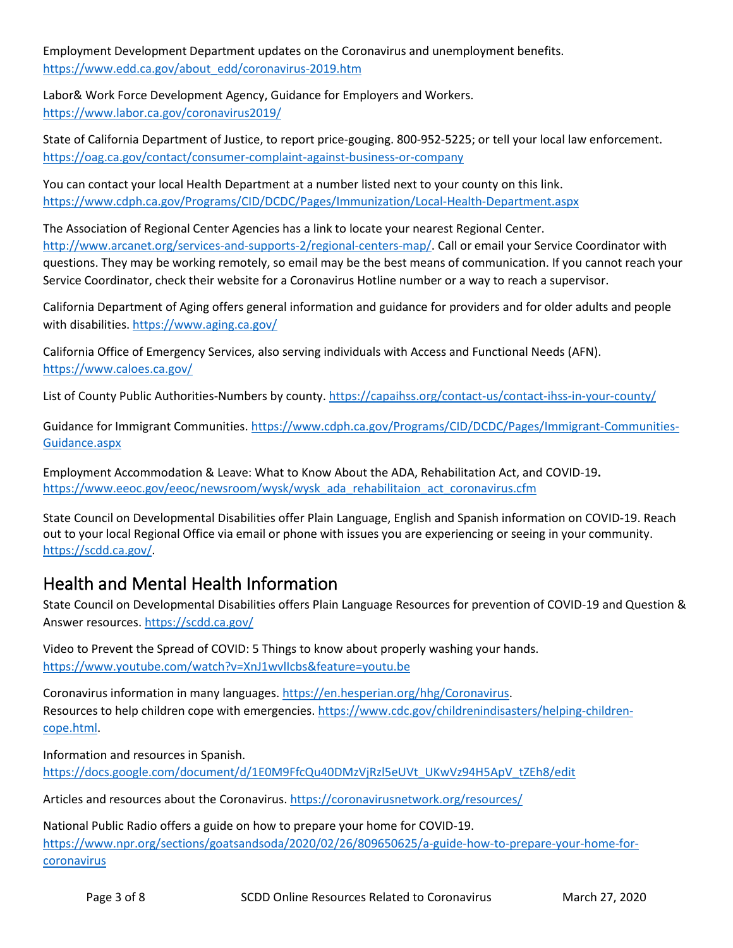Employment Development Department updates on the Coronavirus and unemployment benefits. [https://www.edd.ca.gov/about\\_edd/coronavirus-2019.htm](https://www.edd.ca.gov/about_edd/coronavirus-2019.htm)

Labor& Work Force Development Agency, Guidance for Employers and Workers. <https://www.labor.ca.gov/coronavirus2019/>

State of California Department of Justice, to report price-gouging. 800-952-5225; or tell your local law enforcement. <https://oag.ca.gov/contact/consumer-complaint-against-business-or-company>

You can contact your local Health Department at a number listed next to your county on this link. <https://www.cdph.ca.gov/Programs/CID/DCDC/Pages/Immunization/Local-Health-Department.aspx>

The Association of Regional Center Agencies has a link to locate your nearest Regional Center. [http://www.arcanet.org/services-and-supports-2/regional-centers-map/.](http://www.arcanet.org/services-and-supports-2/regional-centers-map/) Call or email your Service Coordinator with questions. They may be working remotely, so email may be the best means of communication. If you cannot reach your Service Coordinator, check their website for a Coronavirus Hotline number or a way to reach a supervisor.

California Department of Aging offers general information and guidance for providers and for older adults and people with disabilities.<https://www.aging.ca.gov/>

California Office of Emergency Services, also serving individuals with Access and Functional Needs (AFN). <https://www.caloes.ca.gov/>

List of County Public Authorities-Numbers by county.<https://capaihss.org/contact-us/contact-ihss-in-your-county/>

Guidance for Immigrant Communities. [https://www.cdph.ca.gov/Programs/CID/DCDC/Pages/Immigrant-Communities-](https://www.cdph.ca.gov/Programs/CID/DCDC/Pages/Immigrant-Communities-Guidance.aspx)[Guidance.aspx](https://www.cdph.ca.gov/Programs/CID/DCDC/Pages/Immigrant-Communities-Guidance.aspx)

Employment Accommodation & Leave: What to Know About the ADA, Rehabilitation Act, and COVID-19**.** [https://www.eeoc.gov/eeoc/newsroom/wysk/wysk\\_ada\\_rehabilitaion\\_act\\_coronavirus.cfm](https://www.eeoc.gov/eeoc/newsroom/wysk/wysk_ada_rehabilitaion_act_coronavirus.cfm)

State Council on Developmental Disabilities offer Plain Language, English and Spanish information on COVID-19. Reach out to your local Regional Office via email or phone with issues you are experiencing or seeing in your community. [https://scdd.ca.gov/.](https://scdd.ca.gov/)

## Health and Mental Health Information

State Council on Developmental Disabilities offers Plain Language Resources for prevention of COVID-19 and Question & Answer resources.<https://scdd.ca.gov/>

Video to Prevent the Spread of COVID: 5 Things to know about properly washing your hands. <https://www.youtube.com/watch?v=XnJ1wvlIcbs&feature=youtu.be>

Coronavirus information in many languages. [https://en.hesperian.org/hhg/Coronavirus.](https://en.hesperian.org/hhg/Coronavirus) Resources to help children cope with emergencies[. https://www.cdc.gov/childrenindisasters/helping-children](https://www.cdc.gov/childrenindisasters/helping-children-cope.html)[cope.html.](https://www.cdc.gov/childrenindisasters/helping-children-cope.html)

Information and resources in Spanish. [https://docs.google.com/document/d/1E0M9FfcQu40DMzVjRzl5eUVt\\_UKwVz94H5ApV\\_tZEh8/edit](https://docs.google.com/document/d/1E0M9FfcQu40DMzVjRzl5eUVt_UKwVz94H5ApV_tZEh8/edit)

Articles and resources about the Coronavirus[. https://coronavirusnetwork.org/resources/](https://coronavirusnetwork.org/resources/)

National Public Radio offers a guide on how to prepare your home for COVID-19. [https://www.npr.org/sections/goatsandsoda/2020/02/26/809650625/a-guide-how-to-prepare-your-home-for](https://www.npr.org/sections/goatsandsoda/2020/02/26/809650625/a-guide-how-to-prepare-your-home-for-coronavirus)[coronavirus](https://www.npr.org/sections/goatsandsoda/2020/02/26/809650625/a-guide-how-to-prepare-your-home-for-coronavirus)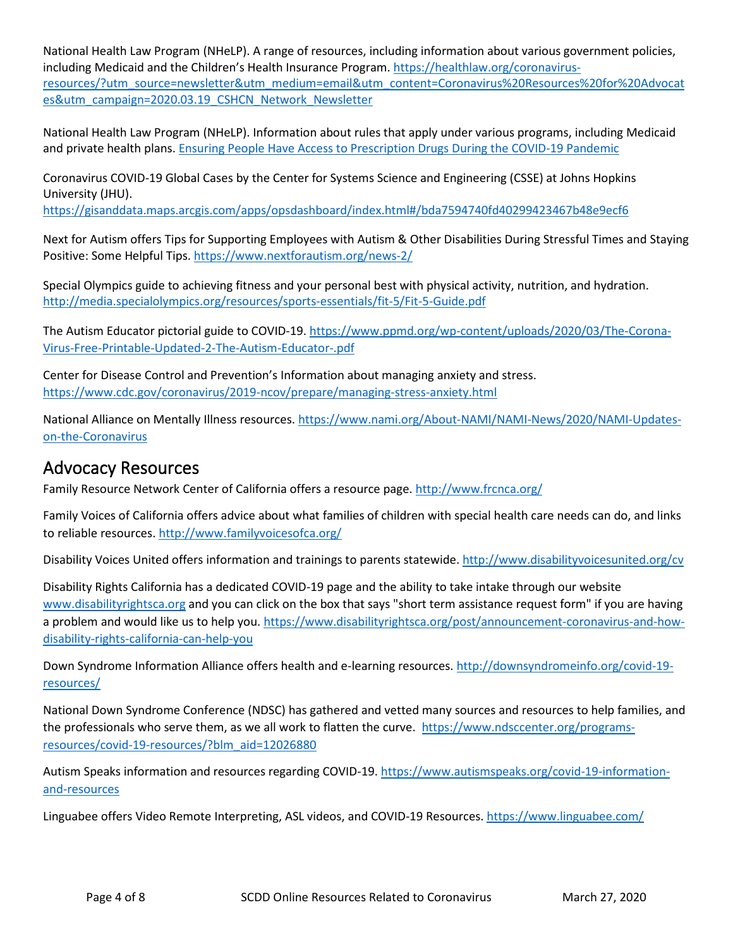National Health Law Program (NHeLP). A range of resources, including information about various government policies, including Medicaid and the Children's Health Insurance Program[. https://healthlaw.org/coronavirus](https://healthlaw.org/coronavirus-resources/?utm_source=newsletter&utm_medium=email&utm_content=Coronavirus%20Resources%20for%20Advocates&utm_campaign=2020.03.19_CSHCN_Network_Newsletter)[resources/?utm\\_source=newsletter&utm\\_medium=email&utm\\_content=Coronavirus%20Resources%20for%20Advocat](https://healthlaw.org/coronavirus-resources/?utm_source=newsletter&utm_medium=email&utm_content=Coronavirus%20Resources%20for%20Advocates&utm_campaign=2020.03.19_CSHCN_Network_Newsletter) [es&utm\\_campaign=2020.03.19\\_CSHCN\\_Network\\_Newsletter](https://healthlaw.org/coronavirus-resources/?utm_source=newsletter&utm_medium=email&utm_content=Coronavirus%20Resources%20for%20Advocates&utm_campaign=2020.03.19_CSHCN_Network_Newsletter)

National Health Law Program (NHeLP). Information about rules that apply under various programs, including Medicaid and private health plans. [Ensuring People Have Access to Prescription Drugs During the COVID-19 Pandemic](https://urldefense.com/v3/__https:/t.e2ma.net/click/l1wr3d/l9ii1cc/pwv2c9__;!!GYLAgPY1nfYXW-ZqwnM!b1Jx88Ih5-Pqg8mxvQHibqaihoqmD6qLOECieOCD__82CZh_eh1FONhBsddxVV6Ci2a9un4$)

Coronavirus COVID-19 Global Cases by the Center for Systems Science and Engineering (CSSE) at Johns Hopkins University (JHU).

<https://gisanddata.maps.arcgis.com/apps/opsdashboard/index.html#/bda7594740fd40299423467b48e9ecf6>

Next for Autism offers Tips for Supporting Employees with Autism & Other Disabilities During Stressful Times and Staying Positive: Some Helpful Tips.<https://www.nextforautism.org/news-2/>

Special Olympics guide to achieving fitness and your personal best with physical activity, nutrition, and hydration. <http://media.specialolympics.org/resources/sports-essentials/fit-5/Fit-5-Guide.pdf>

The Autism Educator pictorial guide to COVID-19[. https://www.ppmd.org/wp-content/uploads/2020/03/The-Corona-](https://www.ppmd.org/wp-content/uploads/2020/03/The-Corona-Virus-Free-Printable-Updated-2-The-Autism-Educator-.pdf)[Virus-Free-Printable-Updated-2-The-Autism-Educator-.pdf](https://www.ppmd.org/wp-content/uploads/2020/03/The-Corona-Virus-Free-Printable-Updated-2-The-Autism-Educator-.pdf)

Center for Disease Control and Prevention's Information about managing anxiety and stress. <https://www.cdc.gov/coronavirus/2019-ncov/prepare/managing-stress-anxiety.html>

National Alliance on Mentally Illness resources. [https://www.nami.org/About-NAMI/NAMI-News/2020/NAMI-Updates](https://www.nami.org/About-NAMI/NAMI-News/2020/NAMI-Updates-on-the-Coronavirus)[on-the-Coronavirus](https://www.nami.org/About-NAMI/NAMI-News/2020/NAMI-Updates-on-the-Coronavirus)

#### Advocacy Resources

Family Resource Network Center of California offers a resource page.<http://www.frcnca.org/>

Family Voices of California offers advice about what families of children with special health care needs can do, and links to reliable resources[. http://www.familyvoicesofca.org/](http://www.familyvoicesofca.org/)

Disability Voices United offers information and trainings to parents statewide[. http://www.disabilityvoicesunited.org/cv](http://www.disabilityvoicesunited.org/cv)

Disability Rights California has a dedicated COVID-19 page and the ability to take intake through our website [www.disabilityrightsca.org](http://www.disabilityrightsca.org/) and you can click on the box that says "short term assistance request form" if you are having a problem and would like us to help you. [https://www.disabilityrightsca.org/post/announcement-coronavirus-and-how](https://www.disabilityrightsca.org/post/announcement-coronavirus-and-how-disability-rights-california-can-help-you)[disability-rights-california-can-help-you](https://www.disabilityrightsca.org/post/announcement-coronavirus-and-how-disability-rights-california-can-help-you)

Down Syndrome Information Alliance offers health and e-learning resources. [http://downsyndromeinfo.org/covid-19](http://downsyndromeinfo.org/covid-19-resources/) [resources/](http://downsyndromeinfo.org/covid-19-resources/)

National Down Syndrome Conference (NDSC) has gathered and vetted many sources and resources to help families, and the professionals who serve them, as we all work to flatten the curve. [https://www.ndsccenter.org/programs](https://www.ndsccenter.org/programs-resources/covid-19-resources/?blm_aid=12026880)[resources/covid-19-resources/?blm\\_aid=12026880](https://www.ndsccenter.org/programs-resources/covid-19-resources/?blm_aid=12026880)

Autism Speaks information and resources regarding COVID-19. [https://www.autismspeaks.org/covid-19-information](https://www.autismspeaks.org/covid-19-information-and-resources)[and-resources](https://www.autismspeaks.org/covid-19-information-and-resources)

Linguabee offers Video Remote Interpreting, ASL videos, and COVID-19 Resources[. https://www.linguabee.com/](https://www.linguabee.com/)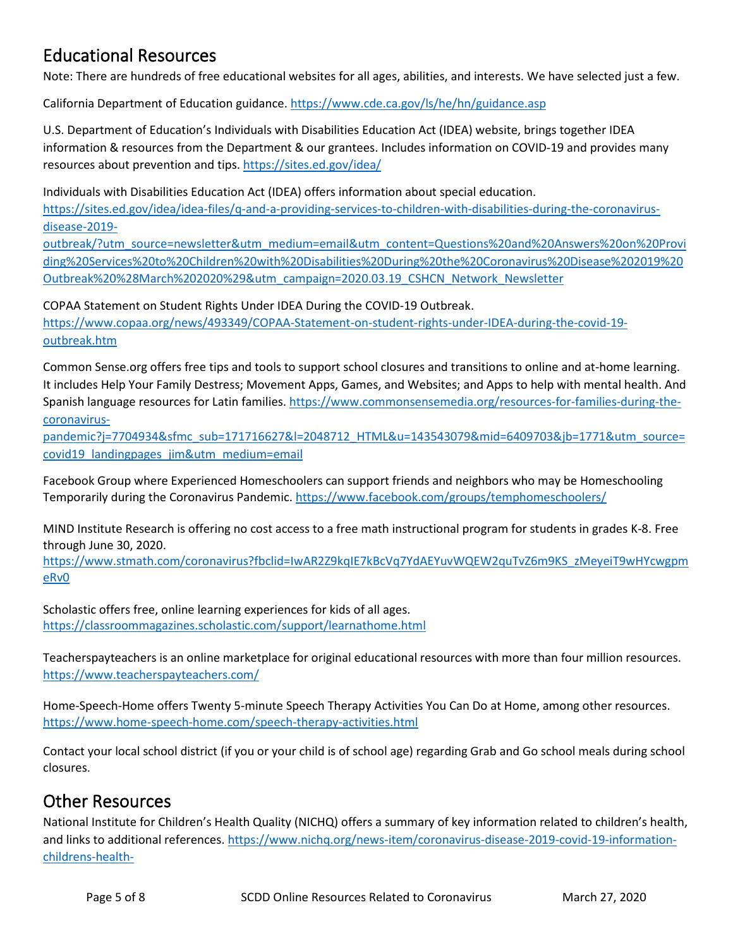# Educational Resources

Note: There are hundreds of free educational websites for all ages, abilities, and interests. We have selected just a few.

California Department of Education guidance[. https://www.cde.ca.gov/ls/he/hn/guidance.asp](https://www.cde.ca.gov/ls/he/hn/guidance.asp)

U.S. Department of Education's Individuals with Disabilities Education Act (IDEA) website, brings together IDEA information & resources from the Department & our grantees. Includes information on COVID-19 and provides many resources about prevention and tips.<https://sites.ed.gov/idea/>

Individuals with Disabilities Education Act (IDEA) offers information about special education. [https://sites.ed.gov/idea/idea-files/q-and-a-providing-services-to-children-with-disabilities-during-the-coronavirus](https://sites.ed.gov/idea/idea-files/q-and-a-providing-services-to-children-with-disabilities-during-the-coronavirus-disease-2019-outbreak/?utm_source=newsletter&utm_medium=email&utm_content=Questions%20and%20Answers%20on%20Providing%20Services%20to%20Children%20with%20Disabilities%20During%20the%20Coronavirus%20Disease%202019%20Outbreak%20%28March%202020%29&utm_campaign=2020.03.19_CSHCN_Network_Newsletter)[disease-2019-](https://sites.ed.gov/idea/idea-files/q-and-a-providing-services-to-children-with-disabilities-during-the-coronavirus-disease-2019-outbreak/?utm_source=newsletter&utm_medium=email&utm_content=Questions%20and%20Answers%20on%20Providing%20Services%20to%20Children%20with%20Disabilities%20During%20the%20Coronavirus%20Disease%202019%20Outbreak%20%28March%202020%29&utm_campaign=2020.03.19_CSHCN_Network_Newsletter)

[outbreak/?utm\\_source=newsletter&utm\\_medium=email&utm\\_content=Questions%20and%20Answers%20on%20Provi](https://sites.ed.gov/idea/idea-files/q-and-a-providing-services-to-children-with-disabilities-during-the-coronavirus-disease-2019-outbreak/?utm_source=newsletter&utm_medium=email&utm_content=Questions%20and%20Answers%20on%20Providing%20Services%20to%20Children%20with%20Disabilities%20During%20the%20Coronavirus%20Disease%202019%20Outbreak%20%28March%202020%29&utm_campaign=2020.03.19_CSHCN_Network_Newsletter) [ding%20Services%20to%20Children%20with%20Disabilities%20During%20the%20Coronavirus%20Disease%202019%20](https://sites.ed.gov/idea/idea-files/q-and-a-providing-services-to-children-with-disabilities-during-the-coronavirus-disease-2019-outbreak/?utm_source=newsletter&utm_medium=email&utm_content=Questions%20and%20Answers%20on%20Providing%20Services%20to%20Children%20with%20Disabilities%20During%20the%20Coronavirus%20Disease%202019%20Outbreak%20%28March%202020%29&utm_campaign=2020.03.19_CSHCN_Network_Newsletter) [Outbreak%20%28March%202020%29&utm\\_campaign=2020.03.19\\_CSHCN\\_Network\\_Newsletter](https://sites.ed.gov/idea/idea-files/q-and-a-providing-services-to-children-with-disabilities-during-the-coronavirus-disease-2019-outbreak/?utm_source=newsletter&utm_medium=email&utm_content=Questions%20and%20Answers%20on%20Providing%20Services%20to%20Children%20with%20Disabilities%20During%20the%20Coronavirus%20Disease%202019%20Outbreak%20%28March%202020%29&utm_campaign=2020.03.19_CSHCN_Network_Newsletter)

COPAA Statement on Student Rights Under IDEA During the COVID-19 Outbreak.

[https://www.copaa.org/news/493349/COPAA-Statement-on-student-rights-under-IDEA-during-the-covid-19](https://www.copaa.org/news/493349/COPAA-Statement-on-student-rights-under-IDEA-during-the-covid-19-outbreak.htm) [outbreak.htm](https://www.copaa.org/news/493349/COPAA-Statement-on-student-rights-under-IDEA-during-the-covid-19-outbreak.htm) 

Common Sense.org offers free tips and tools to support school closures and transitions to online and at-home learning. It includes Help Your Family Destress; Movement Apps, Games, and Websites; and Apps to help with mental health. And Spanish language resources for Latin families[. https://www.commonsensemedia.org/resources-for-families-during-the](https://www.commonsensemedia.org/resources-for-families-during-the-coronavirus-pandemic?j=7704934&sfmc_sub=171716627&l=2048712_HTML&u=143543079&mid=6409703&jb=1771&utm_source=covid19_landingpages_jim&utm_medium=email)[coronavirus-](https://www.commonsensemedia.org/resources-for-families-during-the-coronavirus-pandemic?j=7704934&sfmc_sub=171716627&l=2048712_HTML&u=143543079&mid=6409703&jb=1771&utm_source=covid19_landingpages_jim&utm_medium=email)

[pandemic?j=7704934&sfmc\\_sub=171716627&l=2048712\\_HTML&u=143543079&mid=6409703&jb=1771&utm\\_source=](https://www.commonsensemedia.org/resources-for-families-during-the-coronavirus-pandemic?j=7704934&sfmc_sub=171716627&l=2048712_HTML&u=143543079&mid=6409703&jb=1771&utm_source=covid19_landingpages_jim&utm_medium=email) [covid19\\_landingpages\\_jim&utm\\_medium=email](https://www.commonsensemedia.org/resources-for-families-during-the-coronavirus-pandemic?j=7704934&sfmc_sub=171716627&l=2048712_HTML&u=143543079&mid=6409703&jb=1771&utm_source=covid19_landingpages_jim&utm_medium=email)

Facebook Group where Experienced Homeschoolers can support friends and neighbors who may be Homeschooling Temporarily during the Coronavirus Pandemic.<https://www.facebook.com/groups/temphomeschoolers/>

MIND Institute Research is offering no cost access to a free math instructional program for students in grades K-8. Free through June 30, 2020.

[https://www.stmath.com/coronavirus?fbclid=IwAR2Z9kqIE7kBcVq7YdAEYuvWQEW2quTvZ6m9KS\\_zMeyeiT9wHYcwgpm](https://www.stmath.com/coronavirus?fbclid=IwAR2Z9kqIE7kBcVq7YdAEYuvWQEW2quTvZ6m9KS_zMeyeiT9wHYcwgpmeRv0) [eRv0](https://www.stmath.com/coronavirus?fbclid=IwAR2Z9kqIE7kBcVq7YdAEYuvWQEW2quTvZ6m9KS_zMeyeiT9wHYcwgpmeRv0)

Scholastic offers free, online learning experiences for kids of all ages. <https://classroommagazines.scholastic.com/support/learnathome.html>

Teacherspayteachers is an online marketplace for original educational resources with more than four million resources. <https://www.teacherspayteachers.com/>

Home-Speech-Home offers Twenty 5-minute Speech Therapy Activities You Can Do at Home, among other resources. <https://www.home-speech-home.com/speech-therapy-activities.html>

Contact your local school district (if you or your child is of school age) regarding Grab and Go school meals during school closures.

### Other Resources

National Institute for Children's Health Quality (NICHQ) offers a summary of key information related to children's health, and links to additional references. [https://www.nichq.org/news-item/coronavirus-disease-2019-covid-19-information](https://www.nichq.org/news-item/coronavirus-disease-2019-covid-19-information-childrens-health-advocates?utm_source=newsletter&utm_medium=email&utm_content=Coronavirus%20Disease%202019%20%28COVID-19%29%20Information%20for%20Children%E2%80%99s%20Health%20Advocates&utm_campaign=2020.03.19_CSHCN_Network_Newsletter)[childrens-health-](https://www.nichq.org/news-item/coronavirus-disease-2019-covid-19-information-childrens-health-advocates?utm_source=newsletter&utm_medium=email&utm_content=Coronavirus%20Disease%202019%20%28COVID-19%29%20Information%20for%20Children%E2%80%99s%20Health%20Advocates&utm_campaign=2020.03.19_CSHCN_Network_Newsletter)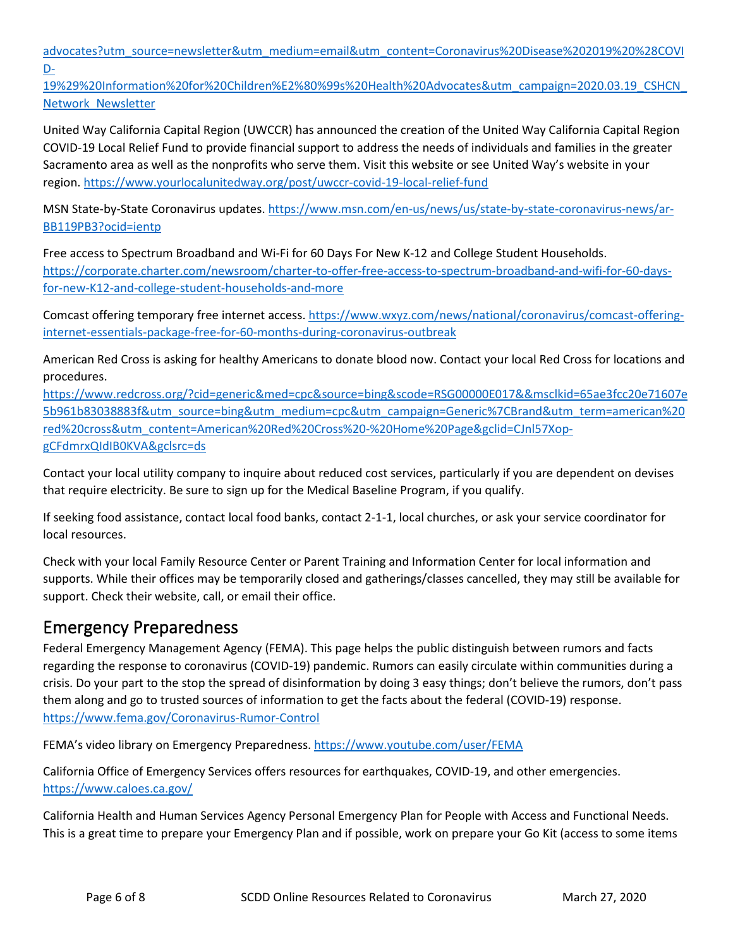[advocates?utm\\_source=newsletter&utm\\_medium=email&utm\\_content=Coronavirus%20Disease%202019%20%28COVI](https://www.nichq.org/news-item/coronavirus-disease-2019-covid-19-information-childrens-health-advocates?utm_source=newsletter&utm_medium=email&utm_content=Coronavirus%20Disease%202019%20%28COVID-19%29%20Information%20for%20Children%E2%80%99s%20Health%20Advocates&utm_campaign=2020.03.19_CSHCN_Network_Newsletter) [D-](https://www.nichq.org/news-item/coronavirus-disease-2019-covid-19-information-childrens-health-advocates?utm_source=newsletter&utm_medium=email&utm_content=Coronavirus%20Disease%202019%20%28COVID-19%29%20Information%20for%20Children%E2%80%99s%20Health%20Advocates&utm_campaign=2020.03.19_CSHCN_Network_Newsletter)

[19%29%20Information%20for%20Children%E2%80%99s%20Health%20Advocates&utm\\_campaign=2020.03.19\\_CSHCN\\_](https://www.nichq.org/news-item/coronavirus-disease-2019-covid-19-information-childrens-health-advocates?utm_source=newsletter&utm_medium=email&utm_content=Coronavirus%20Disease%202019%20%28COVID-19%29%20Information%20for%20Children%E2%80%99s%20Health%20Advocates&utm_campaign=2020.03.19_CSHCN_Network_Newsletter) [Network\\_Newsletter](https://www.nichq.org/news-item/coronavirus-disease-2019-covid-19-information-childrens-health-advocates?utm_source=newsletter&utm_medium=email&utm_content=Coronavirus%20Disease%202019%20%28COVID-19%29%20Information%20for%20Children%E2%80%99s%20Health%20Advocates&utm_campaign=2020.03.19_CSHCN_Network_Newsletter)

United Way California Capital Region (UWCCR) has announced the creation of the United Way California Capital Region COVID-19 Local Relief Fund to provide financial support to address the needs of individuals and families in the greater Sacramento area as well as the nonprofits who serve them. Visit this website or see United Way's website in your region.<https://www.yourlocalunitedway.org/post/uwccr-covid-19-local-relief-fund>

MSN State-by-State Coronavirus updates. [https://www.msn.com/en-us/news/us/state-by-state-coronavirus-news/ar-](https://www.msn.com/en-us/news/us/state-by-state-coronavirus-news/ar-BB119PB3?ocid=ientp)[BB119PB3?ocid=ientp](https://www.msn.com/en-us/news/us/state-by-state-coronavirus-news/ar-BB119PB3?ocid=ientp)

Free access to Spectrum Broadband and Wi-Fi for 60 Days For New K-12 and College Student Households. [https://corporate.charter.com/newsroom/charter-to-offer-free-access-to-spectrum-broadband-and-wifi-for-60-days](https://corporate.charter.com/newsroom/charter-to-offer-free-access-to-spectrum-broadband-and-wifi-for-60-days-for-new-K12-and-college-student-households-and-more)[for-new-K12-and-college-student-households-and-more](https://corporate.charter.com/newsroom/charter-to-offer-free-access-to-spectrum-broadband-and-wifi-for-60-days-for-new-K12-and-college-student-households-and-more)

Comcast offering temporary free internet access. [https://www.wxyz.com/news/national/coronavirus/comcast-offering](https://www.wxyz.com/news/national/coronavirus/comcast-offering-internet-essentials-package-free-for-60-months-during-coronavirus-outbreak)[internet-essentials-package-free-for-60-months-during-coronavirus-outbreak](https://www.wxyz.com/news/national/coronavirus/comcast-offering-internet-essentials-package-free-for-60-months-during-coronavirus-outbreak)

American Red Cross is asking for healthy Americans to donate blood now. Contact your local Red Cross for locations and procedures.

[https://www.redcross.org/?cid=generic&med=cpc&source=bing&scode=RSG00000E017&&msclkid=65ae3fcc20e71607e](https://www.redcross.org/?cid=generic&med=cpc&source=bing&scode=RSG00000E017&&msclkid=65ae3fcc20e71607e5b961b83038883f&utm_source=bing&utm_medium=cpc&utm_campaign=Generic%7CBrand&utm_term=american%20red%20cross&utm_content=American%20Red%20Cross%20-%20Home%20Page&gclid=CJnl57Xop-gCFdmrxQIdIB0KVA&gclsrc=ds) [5b961b83038883f&utm\\_source=bing&utm\\_medium=cpc&utm\\_campaign=Generic%7CBrand&utm\\_term=american%20](https://www.redcross.org/?cid=generic&med=cpc&source=bing&scode=RSG00000E017&&msclkid=65ae3fcc20e71607e5b961b83038883f&utm_source=bing&utm_medium=cpc&utm_campaign=Generic%7CBrand&utm_term=american%20red%20cross&utm_content=American%20Red%20Cross%20-%20Home%20Page&gclid=CJnl57Xop-gCFdmrxQIdIB0KVA&gclsrc=ds) [red%20cross&utm\\_content=American%20Red%20Cross%20-%20Home%20Page&gclid=CJnl57Xop](https://www.redcross.org/?cid=generic&med=cpc&source=bing&scode=RSG00000E017&&msclkid=65ae3fcc20e71607e5b961b83038883f&utm_source=bing&utm_medium=cpc&utm_campaign=Generic%7CBrand&utm_term=american%20red%20cross&utm_content=American%20Red%20Cross%20-%20Home%20Page&gclid=CJnl57Xop-gCFdmrxQIdIB0KVA&gclsrc=ds)[gCFdmrxQIdIB0KVA&gclsrc=ds](https://www.redcross.org/?cid=generic&med=cpc&source=bing&scode=RSG00000E017&&msclkid=65ae3fcc20e71607e5b961b83038883f&utm_source=bing&utm_medium=cpc&utm_campaign=Generic%7CBrand&utm_term=american%20red%20cross&utm_content=American%20Red%20Cross%20-%20Home%20Page&gclid=CJnl57Xop-gCFdmrxQIdIB0KVA&gclsrc=ds)

Contact your local utility company to inquire about reduced cost services, particularly if you are dependent on devises that require electricity. Be sure to sign up for the Medical Baseline Program, if you qualify.

If seeking food assistance, contact local food banks, contact 2-1-1, local churches, or ask your service coordinator for local resources.

Check with your local Family Resource Center or Parent Training and Information Center for local information and supports. While their offices may be temporarily closed and gatherings/classes cancelled, they may still be available for support. Check their website, call, or email their office.

## Emergency Preparedness

Federal Emergency Management Agency (FEMA). This page helps the public distinguish between rumors and facts regarding the response to coronavirus (COVID-19) pandemic. Rumors can easily circulate within communities during a crisis. Do your part to the stop the spread of disinformation by doing 3 easy things; don't believe the rumors, don't pass them along and go to trusted sources of information to get the facts about the federal (COVID-19) response. <https://www.fema.gov/Coronavirus-Rumor-Control>

FEMA's video library on Emergency Preparedness[. https://www.youtube.com/user/FEMA](https://www.youtube.com/user/FEMA)

California Office of Emergency Services offers resources for earthquakes, COVID-19, and other emergencies. <https://www.caloes.ca.gov/>

California Health and Human Services Agency Personal Emergency Plan for People with Access and Functional Needs. This is a great time to prepare your Emergency Plan and if possible, work on prepare your Go Kit (access to some items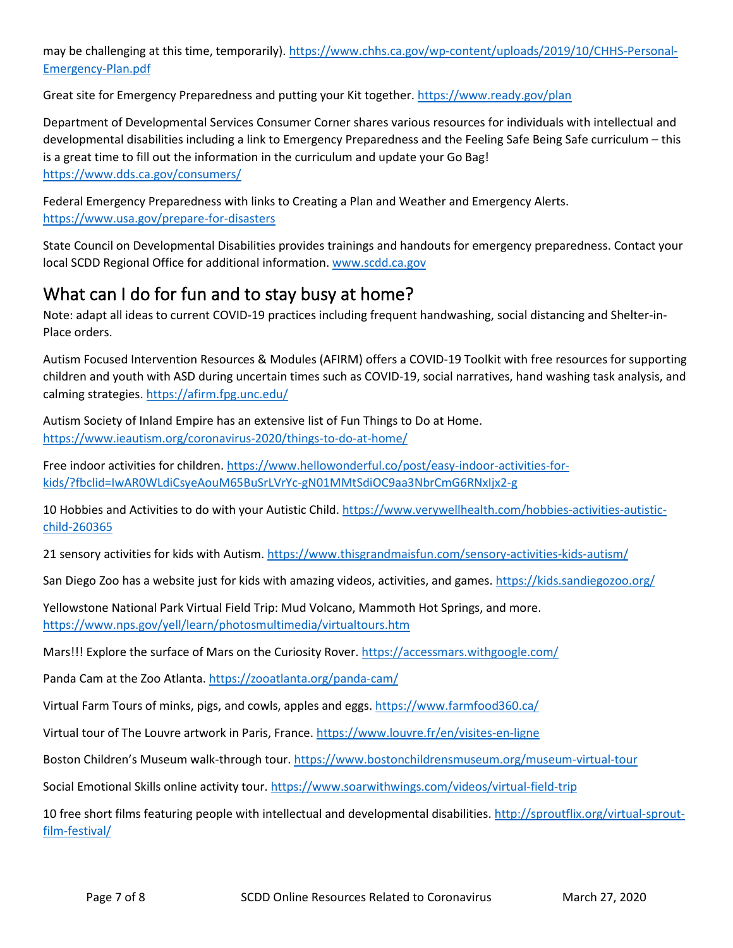may be challenging at this time, temporarily)[. https://www.chhs.ca.gov/wp-content/uploads/2019/10/CHHS-Personal-](https://www.chhs.ca.gov/wp-content/uploads/2019/10/CHHS-Personal-Emergency-Plan.pdf)[Emergency-Plan.pdf](https://www.chhs.ca.gov/wp-content/uploads/2019/10/CHHS-Personal-Emergency-Plan.pdf)

Great site for Emergency Preparedness and putting your Kit together.<https://www.ready.gov/plan>

Department of Developmental Services Consumer Corner shares various resources for individuals with intellectual and developmental disabilities including a link to Emergency Preparedness and the Feeling Safe Being Safe curriculum – this is a great time to fill out the information in the curriculum and update your Go Bag! <https://www.dds.ca.gov/consumers/>

Federal Emergency Preparedness with links to Creating a Plan and Weather and Emergency Alerts. <https://www.usa.gov/prepare-for-disasters>

State Council on Developmental Disabilities provides trainings and handouts for emergency preparedness. Contact your local SCDD Regional Office for additional information[. www.scdd.ca.gov](http://www.scdd.ca.gov/)

# What can I do for fun and to stay busy at home?

Note: adapt all ideas to current COVID-19 practices including frequent handwashing, social distancing and Shelter-in-Place orders.

Autism Focused Intervention Resources & Modules (AFIRM) offers a COVID-19 Toolkit with free resources for supporting children and youth with ASD during uncertain times such as COVID-19, social narratives, hand washing task analysis, and calming strategies.<https://afirm.fpg.unc.edu/>

Autism Society of Inland Empire has an extensive list of Fun Things to Do at Home. <https://www.ieautism.org/coronavirus-2020/things-to-do-at-home/>

Free indoor activities for children[. https://www.hellowonderful.co/post/easy-indoor-activities-for](https://www.hellowonderful.co/post/easy-indoor-activities-for-kids/?fbclid=IwAR0WLdiCsyeAouM65BuSrLVrYc-gN01MMtSdiOC9aa3NbrCmG6RNxIjx2-g)[kids/?fbclid=IwAR0WLdiCsyeAouM65BuSrLVrYc-gN01MMtSdiOC9aa3NbrCmG6RNxIjx2-g](https://www.hellowonderful.co/post/easy-indoor-activities-for-kids/?fbclid=IwAR0WLdiCsyeAouM65BuSrLVrYc-gN01MMtSdiOC9aa3NbrCmG6RNxIjx2-g)

10 Hobbies and Activities to do with your Autistic Child. [https://www.verywellhealth.com/hobbies-activities-autistic](https://www.verywellhealth.com/hobbies-activities-autistic-child-260365)[child-260365](https://www.verywellhealth.com/hobbies-activities-autistic-child-260365)

21 sensory activities for kids with Autism.<https://www.thisgrandmaisfun.com/sensory-activities-kids-autism/>

San Diego Zoo has a website just for kids with amazing videos, activities, and games.<https://kids.sandiegozoo.org/>

Yellowstone National Park Virtual Field Trip: Mud Volcano, Mammoth Hot Springs, and more. <https://www.nps.gov/yell/learn/photosmultimedia/virtualtours.htm>

Mars!!! Explore the surface of Mars on the Curiosity Rover.<https://accessmars.withgoogle.com/>

Panda Cam at the Zoo Atlanta[. https://zooatlanta.org/panda-cam/](https://zooatlanta.org/panda-cam/)

Virtual Farm Tours of minks, pigs, and cowls, apples and eggs[. https://www.farmfood360.ca/](https://www.farmfood360.ca/)

Virtual tour of The Louvre artwork in Paris, France.<https://www.louvre.fr/en/visites-en-ligne>

Boston Children's Museum walk-through tour[. https://www.bostonchildrensmuseum.org/museum-virtual-tour](https://www.bostonchildrensmuseum.org/museum-virtual-tour)

Social Emotional Skills online activity tour.<https://www.soarwithwings.com/videos/virtual-field-trip>

10 free short films featuring people with intellectual and developmental disabilities. [http://sproutflix.org/virtual-sprout](http://sproutflix.org/virtual-sprout-film-festival/)[film-festival/](http://sproutflix.org/virtual-sprout-film-festival/)